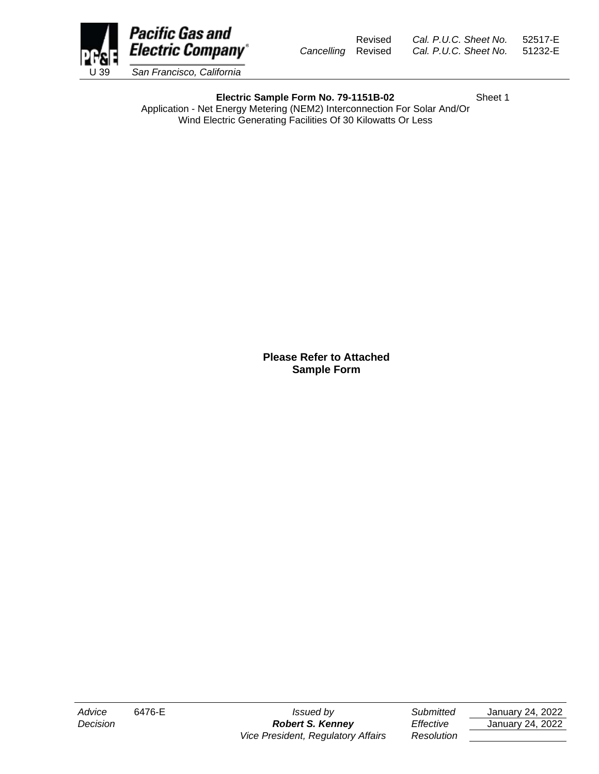

**Electric Sample Form No. 79-1151B-02** Sheet 1

Application - Net Energy Metering (NEM2) Interconnection For Solar And/Or Wind Electric Generating Facilities Of 30 Kilowatts Or Less

## **Please Refer to Attached Sample Form**

*Vice President, Regulatory Affairs Resolution*

*Advice* 6476-E *Issued by Submitted* January 24, 2022 *Decision Robert S. Kenney Effective* January 24, 2022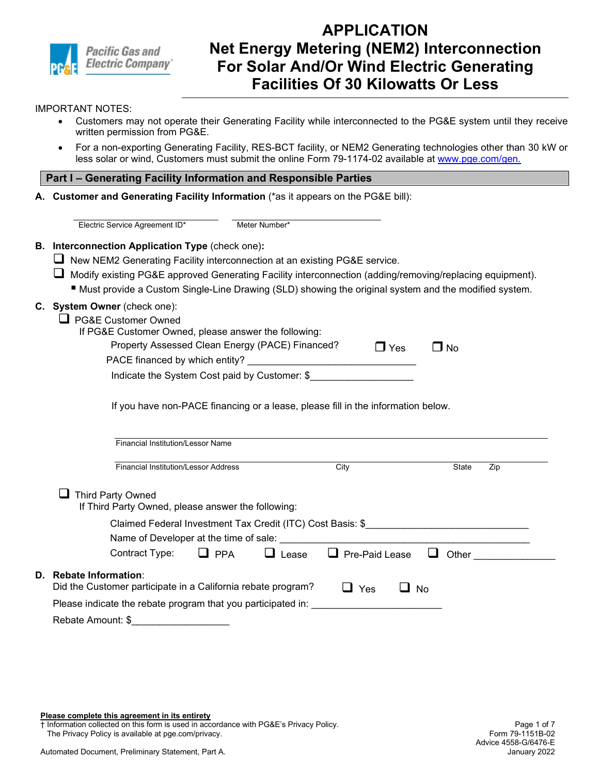

#### IMPORTANT NOTES:

- Customers may not operate their Generating Facility while interconnected to the PG&E system until they receive written permission from PG&E.
- For a non-exporting Generating Facility, RES-BCT facility, or NEM2 Generating technologies other than 30 kW or less solar or wind, Customers must submit the online Form 79-1174-02 available at [www.pge.com/gen.](http://www.pge.com/expandednem)

### **Part I – Generating Facility Information and Responsible Parties**

**A. Customer and Generating Facility Information** (\*as it appears on the PG&E bill):

| Electric Service Agreement ID*                                                                                               | Meter Number*              |                                                                                                                     |                                                                                                                                                                                                                                      |
|------------------------------------------------------------------------------------------------------------------------------|----------------------------|---------------------------------------------------------------------------------------------------------------------|--------------------------------------------------------------------------------------------------------------------------------------------------------------------------------------------------------------------------------------|
| B. Interconnection Application Type (check one):                                                                             |                            |                                                                                                                     |                                                                                                                                                                                                                                      |
| New NEM2 Generating Facility interconnection at an existing PG&E service.                                                    |                            |                                                                                                                     |                                                                                                                                                                                                                                      |
| Modify existing PG&E approved Generating Facility interconnection (adding/removing/replacing equipment).                     |                            |                                                                                                                     |                                                                                                                                                                                                                                      |
| " Must provide a Custom Single-Line Drawing (SLD) showing the original system and the modified system.                       |                            |                                                                                                                     |                                                                                                                                                                                                                                      |
| C. System Owner (check one):                                                                                                 |                            |                                                                                                                     |                                                                                                                                                                                                                                      |
| PG&E Customer Owned                                                                                                          |                            |                                                                                                                     |                                                                                                                                                                                                                                      |
| If PG&E Customer Owned, please answer the following:                                                                         |                            |                                                                                                                     |                                                                                                                                                                                                                                      |
| Property Assessed Clean Energy (PACE) Financed?                                                                              |                            | $\Box$ Yes                                                                                                          | $\square$ No                                                                                                                                                                                                                         |
| PACE financed by which entity?                                                                                               |                            | <u> 1989 - Johann John Stone, mars eta bainar eta bainar eta hondaren erroman erroman erroman erroman erroman e</u> |                                                                                                                                                                                                                                      |
|                                                                                                                              |                            | Indicate the System Cost paid by Customer: \$                                                                       |                                                                                                                                                                                                                                      |
|                                                                                                                              |                            |                                                                                                                     |                                                                                                                                                                                                                                      |
| <b>Financial Institution/Lessor Name</b>                                                                                     |                            |                                                                                                                     |                                                                                                                                                                                                                                      |
| <b>Financial Institution/Lessor Address</b>                                                                                  |                            | City                                                                                                                | State<br>Zip                                                                                                                                                                                                                         |
| Third Party Owned                                                                                                            |                            |                                                                                                                     |                                                                                                                                                                                                                                      |
| If Third Party Owned, please answer the following:                                                                           |                            |                                                                                                                     |                                                                                                                                                                                                                                      |
|                                                                                                                              |                            |                                                                                                                     | Claimed Federal Investment Tax Credit (ITC) Cost Basis: \$                                                                                                                                                                           |
|                                                                                                                              |                            |                                                                                                                     | Name of Developer at the time of sale: <b>with the control of the control of the control of the control of the control of the control of the control of the control of the control of the control of the control of the control </b> |
| Contract Type:                                                                                                               | $\Box$ PPA<br>$\Box$ Lease | $\Box$ Pre-Paid Lease $\Box$ Other                                                                                  |                                                                                                                                                                                                                                      |
| D. Rebate Information:                                                                                                       |                            |                                                                                                                     |                                                                                                                                                                                                                                      |
| Did the Customer participate in a California rebate program?<br>Please indicate the rebate program that you participated in: |                            | $\Box$ Yes                                                                                                          | No                                                                                                                                                                                                                                   |

**Please complete this agreement in its entirety**

† Information collected on this form is used in accordance with PG&E's Privacy Policy.

The Privacy Policy is available at pge.com/privacy.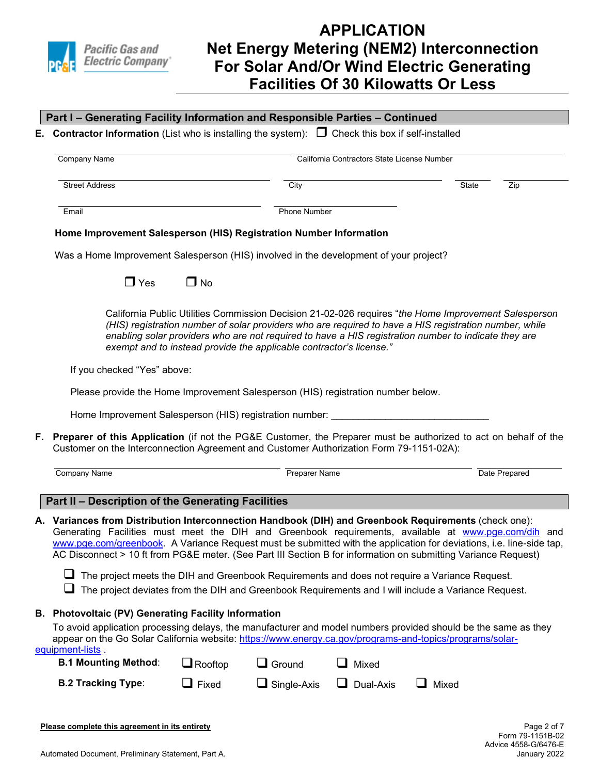

| E. Contractor Information (List who is installing the system): $\Box$ Check this box if self-installed                                                                                                                                                                                                                                                                                                                                                  |                |                                                                                                                                                                                                                                                                                                                                                                                               |                                             |       |               |
|---------------------------------------------------------------------------------------------------------------------------------------------------------------------------------------------------------------------------------------------------------------------------------------------------------------------------------------------------------------------------------------------------------------------------------------------------------|----------------|-----------------------------------------------------------------------------------------------------------------------------------------------------------------------------------------------------------------------------------------------------------------------------------------------------------------------------------------------------------------------------------------------|---------------------------------------------|-------|---------------|
| <b>Company Name</b>                                                                                                                                                                                                                                                                                                                                                                                                                                     |                |                                                                                                                                                                                                                                                                                                                                                                                               | California Contractors State License Number |       |               |
| <b>Street Address</b>                                                                                                                                                                                                                                                                                                                                                                                                                                   |                | City                                                                                                                                                                                                                                                                                                                                                                                          |                                             | State | Zip           |
| Email                                                                                                                                                                                                                                                                                                                                                                                                                                                   |                | Phone Number                                                                                                                                                                                                                                                                                                                                                                                  |                                             |       |               |
| Home Improvement Salesperson (HIS) Registration Number Information                                                                                                                                                                                                                                                                                                                                                                                      |                |                                                                                                                                                                                                                                                                                                                                                                                               |                                             |       |               |
| Was a Home Improvement Salesperson (HIS) involved in the development of your project?                                                                                                                                                                                                                                                                                                                                                                   |                |                                                                                                                                                                                                                                                                                                                                                                                               |                                             |       |               |
| $\Box$ Yes                                                                                                                                                                                                                                                                                                                                                                                                                                              | $\Box$ No      |                                                                                                                                                                                                                                                                                                                                                                                               |                                             |       |               |
|                                                                                                                                                                                                                                                                                                                                                                                                                                                         |                | California Public Utilities Commission Decision 21-02-026 requires "the Home Improvement Salesperson<br>(HIS) registration number of solar providers who are required to have a HIS registration number, while<br>enabling solar providers who are not required to have a HIS registration number to indicate they are<br>exempt and to instead provide the applicable contractor's license." |                                             |       |               |
|                                                                                                                                                                                                                                                                                                                                                                                                                                                         |                |                                                                                                                                                                                                                                                                                                                                                                                               |                                             |       |               |
| If you checked "Yes" above:                                                                                                                                                                                                                                                                                                                                                                                                                             |                |                                                                                                                                                                                                                                                                                                                                                                                               |                                             |       |               |
| Please provide the Home Improvement Salesperson (HIS) registration number below.                                                                                                                                                                                                                                                                                                                                                                        |                |                                                                                                                                                                                                                                                                                                                                                                                               |                                             |       |               |
| Home Improvement Salesperson (HIS) registration number:                                                                                                                                                                                                                                                                                                                                                                                                 |                |                                                                                                                                                                                                                                                                                                                                                                                               |                                             |       |               |
| <b>Company Name</b>                                                                                                                                                                                                                                                                                                                                                                                                                                     |                | <b>Preparer Name</b>                                                                                                                                                                                                                                                                                                                                                                          |                                             |       | Date Prepared |
| F. Preparer of this Application (if not the PG&E Customer, the Preparer must be authorized to act on behalf of the<br>Customer on the Interconnection Agreement and Customer Authorization Form 79-1151-02A):<br>Part II - Description of the Generating Facilities                                                                                                                                                                                     |                |                                                                                                                                                                                                                                                                                                                                                                                               |                                             |       |               |
| A. Variances from Distribution Interconnection Handbook (DIH) and Greenbook Requirements (check one):<br>Generating Facilities must meet the DIH and Greenbook requirements, available at www.pge.com/dih and<br>www.pge.com/greenbook. A Variance Request must be submitted with the application for deviations, i.e. line-side tap,<br>AC Disconnect > 10 ft from PG&E meter. (See Part III Section B for information on submitting Variance Request) |                |                                                                                                                                                                                                                                                                                                                                                                                               |                                             |       |               |
| The project meets the DIH and Greenbook Requirements and does not require a Variance Request.                                                                                                                                                                                                                                                                                                                                                           |                | The project deviates from the DIH and Greenbook Requirements and I will include a Variance Request.                                                                                                                                                                                                                                                                                           |                                             |       |               |
| <b>B. Photovoltaic (PV) Generating Facility Information</b><br>To avoid application processing delays, the manufacturer and model numbers provided should be the same as they<br>appear on the Go Solar California website: https://www.energy.ca.gov/programs-and-topics/programs/solar-                                                                                                                                                               |                |                                                                                                                                                                                                                                                                                                                                                                                               |                                             |       |               |
| equipment-lists.<br><b>B.1 Mounting Method:</b>                                                                                                                                                                                                                                                                                                                                                                                                         | $\Box$ Rooftop | $\Box$ Ground                                                                                                                                                                                                                                                                                                                                                                                 | Mixed<br>$\overline{\phantom{a}}$           |       |               |

January 2022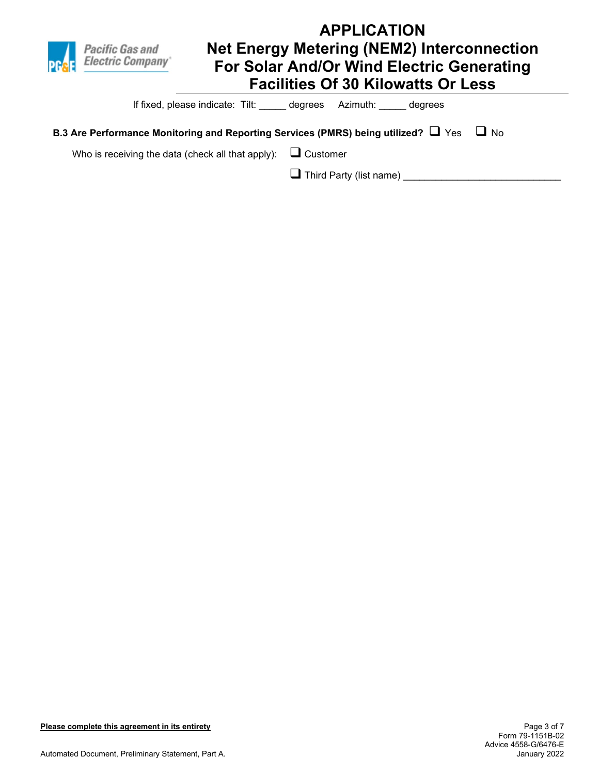

If fixed, please indicate: Tilt: \_\_\_\_\_ degrees Azimuth: \_\_\_\_\_ degrees

## **B.3 Are Performance Monitoring and Reporting Services (PMRS) being utilized?**  $\Box$  Yes  $\Box$  No

Who is receiving the data (check all that apply):  $\square$  Customer

Third Party (list name) \_\_\_\_\_\_\_\_\_\_\_\_\_\_\_\_\_\_\_\_\_\_\_\_\_\_\_\_\_

**Please complete this agreement in its entirety**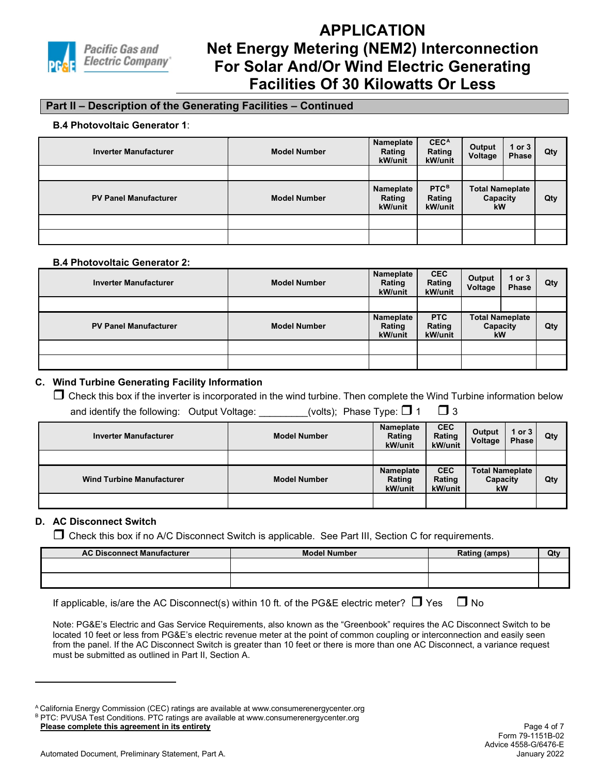

## **Part II – Description of the Generating Facilities – Continued**

#### **B.4 Photovoltaic Generator 1**:

| <b>Inverter Manufacturer</b> | <b>Model Number</b> | Nameplate<br>Rating<br>kW/unit | <b>CECA</b><br>Rating<br>kW/unit | Output<br>Voltage                        | 1 or $3$<br>Phase | Qty |
|------------------------------|---------------------|--------------------------------|----------------------------------|------------------------------------------|-------------------|-----|
|                              |                     |                                |                                  |                                          |                   |     |
| <b>PV Panel Manufacturer</b> | <b>Model Number</b> | Nameplate<br>Rating<br>kW/unit | <b>PTCB</b><br>Rating<br>kW/unit | <b>Total Nameplate</b><br>Capacity<br>kW |                   | Qty |
|                              |                     |                                |                                  |                                          |                   |     |
|                              |                     |                                |                                  |                                          |                   |     |

#### **B.4 Photovoltaic Generator 2:**

| <b>Inverter Manufacturer</b> | <b>Model Number</b> | Nameplate<br>Rating<br>kW/unit | <b>CEC</b><br>Rating<br>kW/unit | Output<br>Voltage                               | 1 or $3$<br><b>Phase</b> | Qty |
|------------------------------|---------------------|--------------------------------|---------------------------------|-------------------------------------------------|--------------------------|-----|
|                              |                     |                                |                                 |                                                 |                          |     |
| <b>PV Panel Manufacturer</b> | <b>Model Number</b> | Nameplate<br>Rating<br>kW/unit | <b>PTC</b><br>Rating<br>kW/unit | <b>Total Nameplate</b><br>Capacity<br><b>kW</b> |                          | Qty |
|                              |                     |                                |                                 |                                                 |                          |     |
|                              |                     |                                |                                 |                                                 |                          |     |

### **C. Wind Turbine Generating Facility Information**

 $\Box$  Check this box if the inverter is incorporated in the wind turbine. Then complete the Wind Turbine information below and identify the following: Output Voltage: \_\_\_\_\_\_\_(volts); Phase Type:  $\Box$  1  $\Box$  3

| <b>Inverter Manufacturer</b>     | <b>Model Number</b> | Nameplate<br>Rating<br>kW/unit | <b>CEC</b><br>Rating<br>kW/unit | Output<br>Voltage                               | $1$ or $3$<br><b>Phase</b> | Qty |
|----------------------------------|---------------------|--------------------------------|---------------------------------|-------------------------------------------------|----------------------------|-----|
|                                  |                     |                                |                                 |                                                 |                            |     |
| <b>Wind Turbine Manufacturer</b> | <b>Model Number</b> | Nameplate<br>Rating<br>kW/unit | <b>CEC</b><br>Rating<br>kW/unit | <b>Total Nameplate</b><br>Capacity<br><b>kW</b> |                            | Qty |
|                                  |                     |                                |                                 |                                                 |                            |     |

## **D. AC Disconnect Switch**

 $\Box$  Check this box if no A/C Disconnect Switch is applicable. See Part III, Section C for requirements.

| <b>AC Disconnect Manufacturer</b> | <b>Model Number</b> | Rating (amps) | Qty |
|-----------------------------------|---------------------|---------------|-----|
|                                   |                     |               |     |
|                                   |                     |               |     |

|  |  | If applicable, is/are the AC Disconnect(s) within 10 ft. of the PG&E electric meter? $\Box$ Yes $\Box$ No |  |  |  |  |  |
|--|--|-----------------------------------------------------------------------------------------------------------|--|--|--|--|--|
|--|--|-----------------------------------------------------------------------------------------------------------|--|--|--|--|--|

Note: PG&E's Electric and Gas Service Requirements, also known as the "Greenbook" requires the AC Disconnect Switch to be located 10 feet or less from PG&E's electric revenue meter at the point of common coupling or interconnection and easily seen from the panel. If the AC Disconnect Switch is greater than 10 feet or there is more than one AC Disconnect, a variance request must be submitted as outlined in Part II, Section A.

<span id="page-4-1"></span><span id="page-4-0"></span>**Please complete this agreement in its entirety** A California Energy Commission (CEC) ratings are available at www.consumerenergycenter.org B PTC: PVUSA Test Conditions. PTC ratings are available at www.consumerenergycenter.org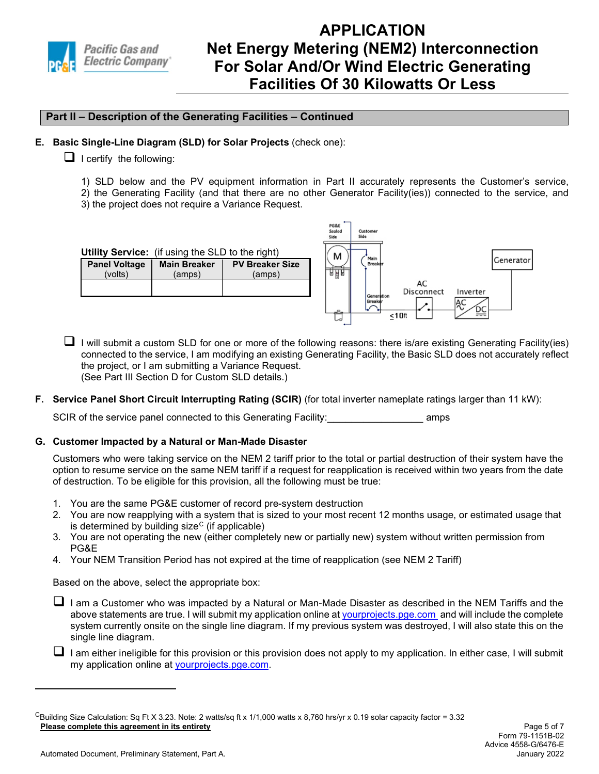

## **Part II – Description of the Generating Facilities – Continued**

### **E. Basic Single-Line Diagram (SLD) for Solar Projects** (check one):

- $\Box$  I certify the following:
	- 1) SLD below and the PV equipment information in Part II accurately represents the Customer's service,

 $P$ GRE

- 2) the Generating Facility (and that there are no other Generator Facility(ies)) connected to the service, and
- 3) the project does not require a Variance Request.

| Sealed<br>Customer<br>Side<br>Side             |
|------------------------------------------------|
| м<br>Main                                      |
| Generator <br>Breake<br><u>na p</u>            |
| AC                                             |
| Disconnect<br>Inverter<br>Generation<br>Breake |
| 뜯<br>ക<br><10ft                                |
|                                                |

- $\Box$  I will submit a custom SLD for one or more of the following reasons: there is/are existing Generating Facility(ies) connected to the service, I am modifying an existing Generating Facility, the Basic SLD does not accurately reflect the project, or I am submitting a Variance Request. (See Part III Section D for Custom SLD details.)
- **F. Service Panel Short Circuit Interrupting Rating (SCIR)** (for total inverter nameplate ratings larger than 11 kW):

SCIR of the service panel connected to this Generating Facility: example amps

### **G. Customer Impacted by a Natural or Man-Made Disaster**

Customers who were taking service on the NEM 2 tariff prior to the total or partial destruction of their system have the option to resume service on the same NEM tariff if a request for reapplication is received within two years from the date of destruction. To be eligible for this provision, all the following must be true:

- 1. You are the same PG&E customer of record pre-system destruction
- 2. You are now reapplying with a system that is sized to your most recent 12 months usage, or estimated usage that is determined by building size<sup>[C](#page-5-0)</sup> (if applicable)
- 3. You are not operating the new (either completely new or partially new) system without written permission from PG&E
- 4. Your NEM Transition Period has not expired at the time of reapplication (see NEM 2 Tariff)

Based on the above, select the appropriate box:

- I am a Customer who was impacted by a Natural or Man-Made Disaster as described in the NEM Tariffs and the above statements are true. I will submit my application online at [yourprojects.pge.com](https://yourprojects-pge.com/login) and will include the complete system currently onsite on the single line diagram. If my previous system was destroyed, I will also state this on the single line diagram.
- I am either ineligible for this provision or this provision does not apply to my application. In either case, I will submit my application online at [yourprojects.pge.com.](https://yourprojects-pge.com/login)

<span id="page-5-0"></span>**Please complete this agreement in its entirety** CBuilding Size Calculation: Sq Ft X 3.23. Note: 2 watts/sq ft x 1/1,000 watts x 8,760 hrs/yr x 0.19 solar capacity factor = 3.32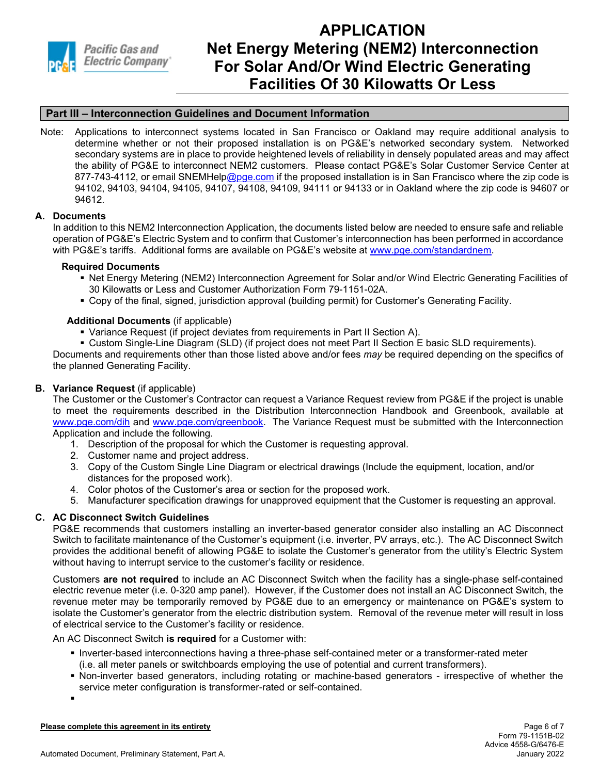

## **Part III – Interconnection Guidelines and Document Information**

Note: Applications to interconnect systems located in San Francisco or Oakland may require additional analysis to determine whether or not their proposed installation is on PG&E's networked secondary system. Networked secondary systems are in place to provide heightened levels of reliability in densely populated areas and may affect the ability of PG&E to interconnect NEM2 customers. Please contact PG&E's Solar Customer Service Center at 877-743-4112, or email SNEMHel[p@pge.com](mailto:@pge.com) if the proposed installation is in San Francisco where the zip code is 94102, 94103, 94104, 94105, 94107, 94108, 94109, 94111 or 94133 or in Oakland where the zip code is 94607 or 94612.

### **A. Documents**

In addition to this NEM2 Interconnection Application, the documents listed below are needed to ensure safe and reliable operation of PG&E's Electric System and to confirm that Customer's interconnection has been performed in accordance with PG&E's tariffs. Additional forms are available on PG&E's website at [www.pge.com/standardnem.](http://www.pge.com/standardnem)

#### **Required Documents**

- Net Energy Metering (NEM2) Interconnection Agreement for Solar and/or Wind Electric Generating Facilities of 30 Kilowatts or Less and Customer Authorization Form 79-1151-02A.
- Copy of the final, signed, jurisdiction approval (building permit) for Customer's Generating Facility.

#### **Additional Documents** (if applicable)

- Variance Request (if project deviates from requirements in Part II Section A).
- Custom Single-Line Diagram (SLD) (if project does not meet Part II Section E basic SLD requirements). Documents and requirements other than those listed above and/or fees *may* be required depending on the specifics of

the planned Generating Facility.

### **B. Variance Request** (if applicable)

The Customer or the Customer's Contractor can request a Variance Request review from PG&E if the project is unable to meet the requirements described in the Distribution Interconnection Handbook and Greenbook, available at [www.pge.com/dih](http://www.pge.com/dih) and [www.pge.com/greenbook.](http://www.pge.com/greenbook) The Variance Request must be submitted with the Interconnection Application and include the following.

- 1. Description of the proposal for which the Customer is requesting approval.
- 2. Customer name and project address.
- 3. Copy of the Custom Single Line Diagram or electrical drawings (Include the equipment, location, and/or distances for the proposed work).
- 4. Color photos of the Customer's area or section for the proposed work.
- 5. Manufacturer specification drawings for unapproved equipment that the Customer is requesting an approval.

### **C. AC Disconnect Switch Guidelines**

PG&E recommends that customers installing an inverter-based generator consider also installing an AC Disconnect Switch to facilitate maintenance of the Customer's equipment (i.e. inverter, PV arrays, etc.). The AC Disconnect Switch provides the additional benefit of allowing PG&E to isolate the Customer's generator from the utility's Electric System without having to interrupt service to the customer's facility or residence.

Customers **are not required** to include an AC Disconnect Switch when the facility has a single-phase self-contained electric revenue meter (i.e. 0-320 amp panel). However, if the Customer does not install an AC Disconnect Switch, the revenue meter may be temporarily removed by PG&E due to an emergency or maintenance on PG&E's system to isolate the Customer's generator from the electric distribution system. Removal of the revenue meter will result in loss of electrical service to the Customer's facility or residence.

An AC Disconnect Switch **is required** for a Customer with:

- **Inverter-based interconnections having a three-phase self-contained meter or a transformer-rated meter** (i.e. all meter panels or switchboards employing the use of potential and current transformers).
- Non-inverter based generators, including rotating or machine-based generators irrespective of whether the service meter configuration is transformer-rated or self-contained.

**Please complete this agreement in its entirety**